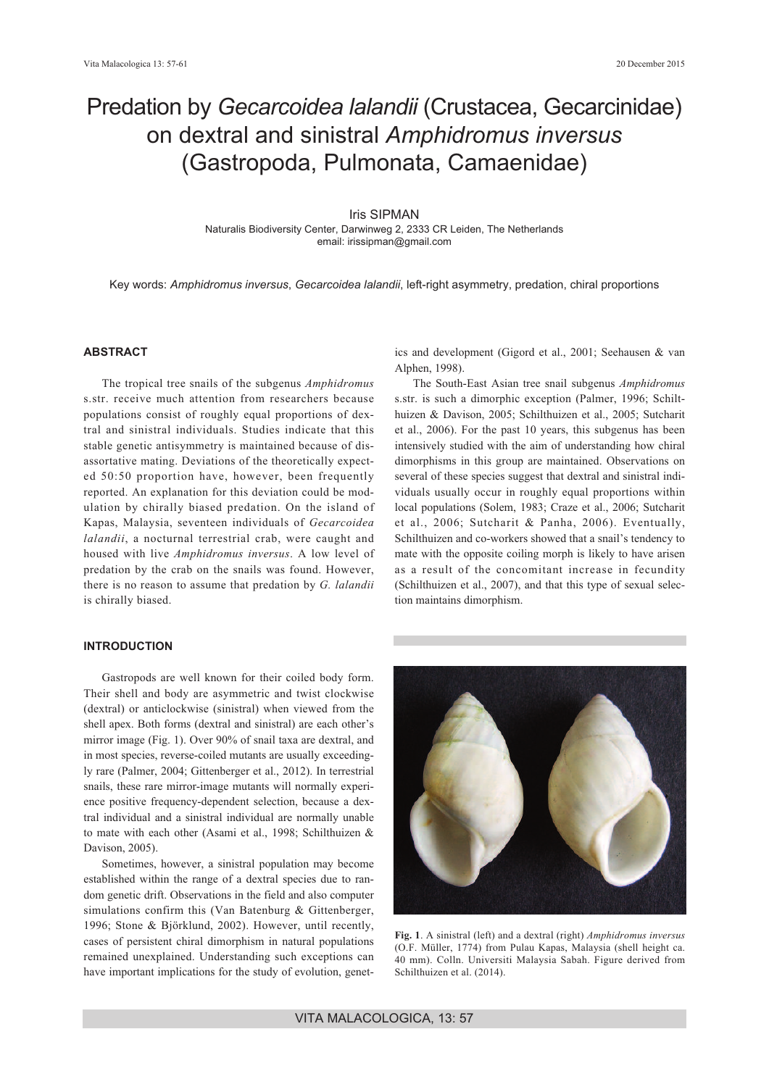# Predation by *Gecarcoidea lalandii* (Crustacea, Gecarcinidae) on dextral and sinistral *Amphidromus inversus* (Gastropoda, Pulmonata, Camaenidae)

Iris SIPMAN Naturalis Biodiversity Center, Darwinweg 2, 2333 CR Leiden, The Netherlands email: irissipman@gmail.com

Key words: *Amphidromus inversus*, *Gecarcoidea lalandii*, left-right asymmetry, predation, chiral proportions

# **ABSTRACT**

The tropical tree snails of the subgenus *Amphidromus* s.str. receive much attention from researchers because populations consist of roughly equal proportions of dextral and sinistral individuals. Studies indicate that this stable genetic antisymmetry is maintained because of disassortative mating. Deviations of the theoretically expected 50:50 proportion have, however, been frequently reported. An explanation for this deviation could be modulation by chirally biased predation. On the island of Kapas, Malaysia, seventeen individuals of *Gecarcoidea lalandii*, a nocturnal terrestrial crab, were caught and housed with live *Amphidromus inversus*. A low level of predation by the crab on the snails was found. However, there is no reason to assume that predation by *G. lalandii* is chirally biased.

# **INTRODUCTION**

Gastropods are well known for their coiled body form. Their shell and body are asymmetric and twist clockwise (dextral) or anticlockwise (sinistral) when viewed from the shell apex. Both forms (dextral and sinistral) are each other's mirror image (Fig. 1). Over 90% of snail taxa are dextral, and in most species, reverse-coiled mutants are usually exceedingly rare (Palmer, 2004; Gittenberger et al., 2012). In terrestrial snails, these rare mirror-image mutants will normally experience positive frequency-dependent selection, because a dextral individual and a sinistral individual are normally unable to mate with each other (Asami et al., 1998; Schilthuizen & Davison, 2005).

Sometimes, however, a sinistral population may become established within the range of a dextral species due to random genetic drift. Observations in the field and also computer simulations confirm this (Van Batenburg & Gittenberger, 1996; Stone & Björklund, 2002). However, until recently, cases of persistent chiral dimorphism in natural populations remained unexplained. Understanding such exceptions can have important implications for the study of evolution, genetics and development (Gigord et al., 2001; Seehausen & van Alphen, 1998).

The South-East Asian tree snail subgenus *Amphidromus* s.str. is such a dimorphic exception (Palmer, 1996; Schilthuizen & Davison, 2005; Schilthuizen et al., 2005; Sutcharit et al., 2006). For the past 10 years, this subgenus has been intensively studied with the aim of understanding how chiral dimorphisms in this group are maintained. Observations on several of these species suggest that dextral and sinistral individuals usually occur in roughly equal proportions within local populations (Solem, 1983; Craze et al., 2006; Sutcharit et al., 2006; Sutcharit & Panha, 2006). Eventually, Schilthuizen and co-workers showed that a snail's tendency to mate with the opposite coiling morph is likely to have arisen as a result of the concomitant increase in fecundity (Schilthuizen et al., 2007), and that this type of sexual selection maintains dimorphism.



**Fig. 1**. A sinistral (left) and a dextral (right) *Amphidromus inversus* (O.F. Müller, 1774) from Pulau Kapas, Malaysia (shell height ca. 40 mm). Colln. Universiti Malaysia Sabah. Figure derived from Schilthuizen et al. (2014).

VITA MALACOLOGICA, 13: 57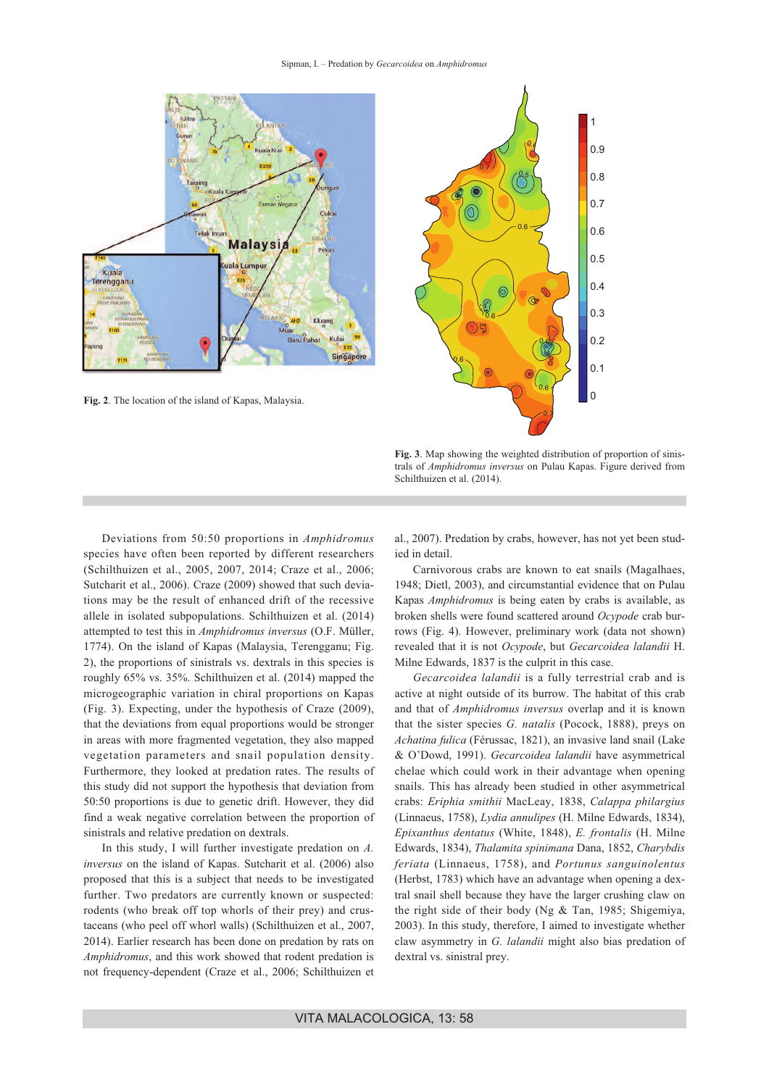#### Sipman, I. – Predation by *Gecarcoidea* on *Amphidromus*



**Fig. 3**. Map showing the weighted distribution of proportion of sinistrals of *Amphidromus inversus* on Pulau Kapas. Figure derived from Schilthuizen et al. (2014).

Deviations from 50:50 proportions in *Amphidromus* species have often been reported by different researchers (Schilthuizen et al., 2005, 2007, 2014; Craze et al., 2006; Sutcharit et al., 2006). Craze (2009) showed that such deviations may be the result of enhanced drift of the recessive allele in isolated subpopulations. Schilthuizen et al. (2014) attempted to test this in *Amphidromus inversus* (O.F. Müller, 1774). On the island of Kapas (Malaysia, Terengganu; Fig. 2), the proportions of sinistrals vs. dextrals in this species is roughly 65% vs. 35%. Schilthuizen et al. (2014) mapped the microgeographic variation in chiral proportions on Kapas (Fig. 3). Expecting, under the hypothesis of Craze (2009), that the deviations from equal proportions would be stronger in areas with more fragmented vegetation, they also mapped vegetation parameters and snail population density. Furthermore, they looked at predation rates. The results of this study did not support the hypothesis that deviation from 50:50 proportions is due to genetic drift. However, they did find a weak negative correlation between the proportion of sinistrals and relative predation on dextrals.

In this study, I will further investigate predation on *A. inversus* on the island of Kapas. Sutcharit et al. (2006) also proposed that this is a subject that needs to be investigated further. Two predators are currently known or suspected: rodents (who break off top whorls of their prey) and crustaceans (who peel off whorl walls) (Schilthuizen et al., 2007, 2014). Earlier research has been done on predation by rats on *Amphidromus*, and this work showed that rodent predation is not frequency-dependent (Craze et al., 2006; Schilthuizen et

al., 2007). Predation by crabs, however, has not yet been studied in detail.

Carnivorous crabs are known to eat snails (Magalhaes, 1948; Dietl, 2003), and circumstantial evidence that on Pulau Kapas *Amphidromus* is being eaten by crabs is available, as broken shells were found scattered around *Ocypode* crab burrows (Fig. 4). However, preliminary work (data not shown) revealed that it is not *Ocypode*, but *Gecarcoidea lalandii* H. Milne Edwards, 1837 is the culprit in this case.

*Gecarcoidea lalandii* is a fully terrestrial crab and is active at night outside of its burrow. The habitat of this crab and that of *Amphidromus inversus* overlap and it is known that the sister species *G. natalis* (Pocock, 1888), preys on *Achatina fulica* (Férussac, 1821), an invasive land snail (Lake & O'Dowd, 1991). *Gecarcoidea lalandii* have asymmetrical chelae which could work in their advantage when opening snails. This has already been studied in other asymmetrical crabs: *Eriphia smithii* MacLeay, 1838, *Calappa philargius* (Linnaeus, 1758), *Lydia annulipes* (H. Milne Edwards, 1834), *Epixanthus dentatus* (White, 1848), *E. frontalis* (H. Milne Edwards, 1834), *Thalamita spinimana* Dana, 1852, *Charybdis feriata* (Linnaeus, 1758), and *Portunus sanguinolentus* (Herbst, 1783) which have an advantage when opening a dextral snail shell because they have the larger crushing claw on the right side of their body (Ng & Tan, 1985; Shigemiya, 2003). In this study, therefore, I aimed to investigate whether claw asymmetry in *G. lalandii* might also bias predation of dextral vs. sinistral prey.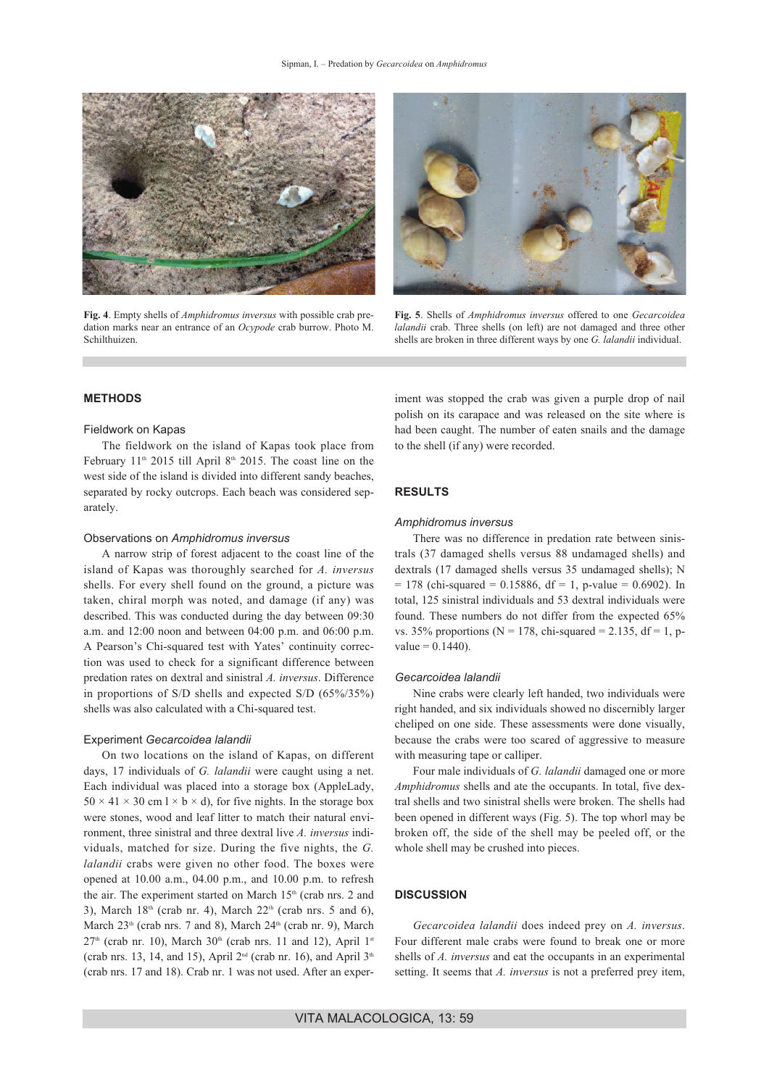

**Fig. 4**. Empty shells of *Amphidromus inversus* with possible crab predation marks near an entrance of an *Ocypode* crab burrow. Photo M. Schilthuizen.



**Fig. 5**. Shells of *Amphidromus inversus* offered to one *Gecarcoidea lalandii* crab. Three shells (on left) are not damaged and three other shells are broken in three different ways by one *G. lalandii* individual.

#### **METHODS**

#### Fieldwork on Kapas

The fieldwork on the island of Kapas took place from February  $11<sup>th</sup>$  2015 till April 8<sup>th</sup> 2015. The coast line on the west side of the island is divided into different sandy beaches, separated by rocky outcrops. Each beach was considered separately.

#### Observations on *Amphidromus inversus*

A narrow strip of forest adjacent to the coast line of the island of Kapas was thoroughly searched for *A. inversus* shells. For every shell found on the ground, a picture was taken, chiral morph was noted, and damage (if any) was described. This was conducted during the day between 09:30 a.m. and 12:00 noon and between 04:00 p.m. and 06:00 p.m. A Pearson's Chi-squared test with Yates' continuity correction was used to check for a significant difference between predation rates on dextral and sinistral *A. inversus*. Difference in proportions of S/D shells and expected S/D (65%/35%) shells was also calculated with a Chi-squared test.

#### Experiment *Gecarcoidea lalandii*

On two locations on the island of Kapas, on different days, 17 individuals of *G. lalandii* were caught using a net. Each individual was placed into a storage box (AppleLady,  $50 \times 41 \times 30$  cm  $1 \times b \times d$ ), for five nights. In the storage box were stones, wood and leaf litter to match their natural environment, three sinistral and three dextral live *A. inversus* individuals, matched for size. During the five nights, the *G. lalandii* crabs were given no other food. The boxes were opened at 10.00 a.m., 04.00 p.m., and 10.00 p.m. to refresh the air. The experiment started on March 15<sup>th</sup> (crab nrs. 2 and 3), March  $18<sup>th</sup>$  (crab nr. 4), March  $22<sup>th</sup>$  (crab nrs. 5 and 6), March  $23<sup>th</sup>$  (crab nrs. 7 and 8), March  $24<sup>th</sup>$  (crab nr. 9), March  $27<sup>th</sup>$  (crab nr. 10), March  $30<sup>th</sup>$  (crab nrs. 11 and 12), April 1<sup>st</sup> (crab nrs. 13, 14, and 15), April  $2<sup>nd</sup>$  (crab nr. 16), and April  $3<sup>th</sup>$ (crab nrs. 17 and 18). Crab nr. 1 was not used. After an experiment was stopped the crab was given a purple drop of nail polish on its carapace and was released on the site where is had been caught. The number of eaten snails and the damage to the shell (if any) were recorded.

# **RESULTS**

### *Amphidromus inversus*

There was no difference in predation rate between sinistrals (37 damaged shells versus 88 undamaged shells) and dextrals (17 damaged shells versus 35 undamaged shells); N  $= 178$  (chi-squared  $= 0.15886$ , df  $= 1$ , p-value  $= 0.6902$ ). In total, 125 sinistral individuals and 53 dextral individuals were found. These numbers do not differ from the expected 65% vs. 35% proportions ( $N = 178$ , chi-squared = 2.135, df = 1, p $value = 0.1440$ .

#### *Gecarcoidea lalandii*

Nine crabs were clearly left handed, two individuals were right handed, and six individuals showed no discernibly larger cheliped on one side. These assessments were done visually, because the crabs were too scared of aggressive to measure with measuring tape or calliper.

Four male individuals of *G. lalandii* damaged one or more *Amphidromus* shells and ate the occupants. In total, five dextral shells and two sinistral shells were broken. The shells had been opened in different ways (Fig. 5). The top whorl may be broken off, the side of the shell may be peeled off, or the whole shell may be crushed into pieces.

#### **DISCUSSION**

*Gecarcoidea lalandii* does indeed prey on *A. inversus*. Four different male crabs were found to break one or more shells of *A. inversus* and eat the occupants in an experimental setting. It seems that *A. inversus* is not a preferred prey item,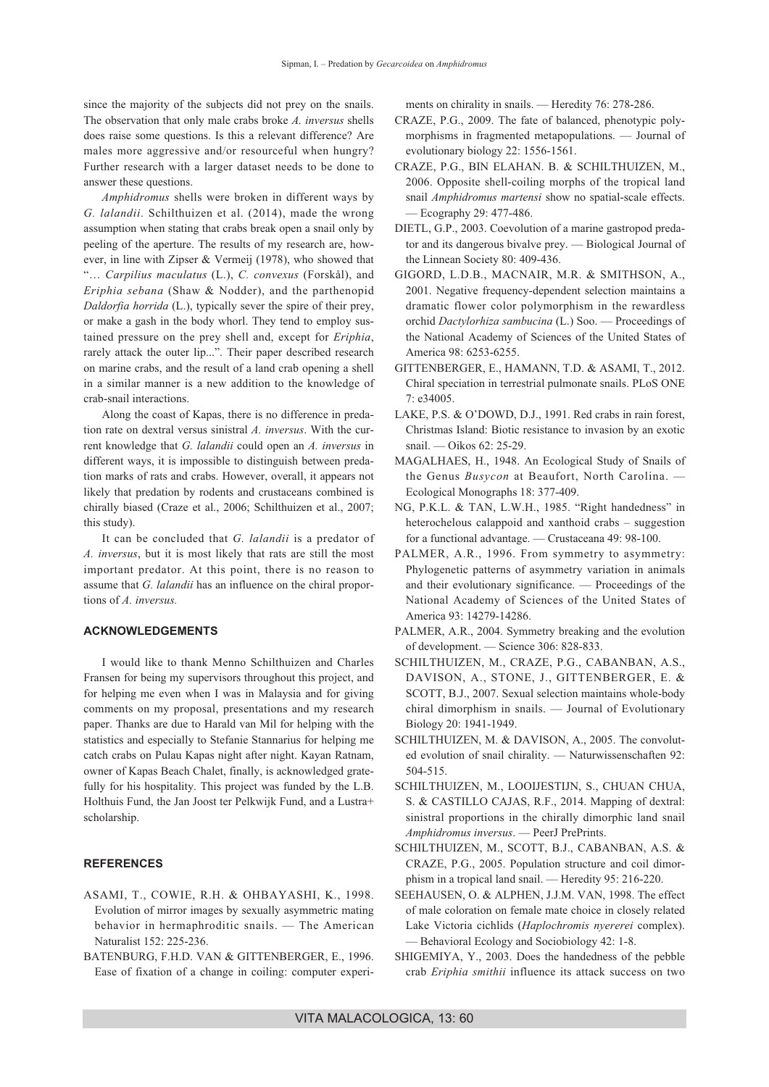since the majority of the subjects did not prey on the snails. The observation that only male crabs broke *A. inversus* shells does raise some questions. Is this a relevant difference? Are males more aggressive and/or resourceful when hungry? Further research with a larger dataset needs to be done to answer these questions.

*Amphidromus* shells were broken in different ways by *G. lalandii*. Schilthuizen et al. (2014), made the wrong assumption when stating that crabs break open a snail only by peeling of the aperture. The results of my research are, however, in line with Zipser & Vermeij (1978), who showed that "… *Carpilius maculatus* (L.), *C. convexus* (Forskål), and *Eriphia sebana* (Shaw & Nodder), and the parthenopid *Daldorfia horrida* (L.), typically sever the spire of their prey, or make a gash in the body whorl. They tend to employ sustained pressure on the prey shell and, except for *Eriphia*, rarely attack the outer lip...". Their paper described research on marine crabs, and the result of a land crab opening a shell in a similar manner is a new addition to the knowledge of crab-snail interactions.

Along the coast of Kapas, there is no difference in predation rate on dextral versus sinistral *A. inversus*. With the current knowledge that *G. lalandii* could open an *A. inversus* in different ways, it is impossible to distinguish between predation marks of rats and crabs. However, overall, it appears not likely that predation by rodents and crustaceans combined is chirally biased (Craze et al., 2006; Schilthuizen et al., 2007; this study).

It can be concluded that *G. lalandii* is a predator of *A. inversus*, but it is most likely that rats are still the most important predator. At this point, there is no reason to assume that *G. lalandii* has an influence on the chiral proportions of *A. inversus.*

# **ACKNOWLEDGEMENTS**

I would like to thank Menno Schilthuizen and Charles Fransen for being my supervisors throughout this project, and for helping me even when I was in Malaysia and for giving comments on my proposal, presentations and my research paper. Thanks are due to Harald van Mil for helping with the statistics and especially to Stefanie Stannarius for helping me catch crabs on Pulau Kapas night after night. Kayan Ratnam, owner of Kapas Beach Chalet, finally, is acknowledged gratefully for his hospitality. This project was funded by the L.B. Holthuis Fund, the Jan Joost ter Pelkwijk Fund, and a Lustra+ scholarship.

#### **REFERENCES**

- ASAMI, T., COWIE, R.H. & OHBAYASHI, K., 1998. Evolution of mirror images by sexually asymmetric mating behavior in hermaphroditic snails. — The American Naturalist 152: 225-236.
- BATENBURG, F.H.D. VAN & GITTENBERGER, E., 1996. Ease of fixation of a change in coiling: computer experi-

ments on chirality in snails. — Heredity 76: 278-286.

- CRAZE, P.G., 2009. The fate of balanced, phenotypic polymorphisms in fragmented metapopulations. — Journal of evolutionary biology 22: 1556-1561.
- CRAZE, P.G., BIN ELAHAN. B. & SCHILTHUIZEN, M., 2006. Opposite shell-coiling morphs of the tropical land snail *Amphidromus martensi* show no spatial-scale effects. — Ecography 29: 477-486.
- DIETL, G.P., 2003. Coevolution of a marine gastropod predator and its dangerous bivalve prey. — Biological Journal of the Linnean Society 80: 409-436.
- GIGORD, L.D.B., MACNAIR, M.R. & SMITHSON, A., 2001. Negative frequency-dependent selection maintains a dramatic flower color polymorphism in the rewardless orchid *Dactylorhiza sambucina* (L.) Soo. — Proceedings of the National Academy of Sciences of the United States of America 98: 6253-6255.
- GITTENBERGER, E., HAMANN, T.D. & ASAMI, T., 2012. Chiral speciation in terrestrial pulmonate snails. PLoS ONE 7: e34005.
- LAKE, P.S. & O'DOWD, D.J., 1991. Red crabs in rain forest, Christmas Island: Biotic resistance to invasion by an exotic snail. — Oikos 62: 25-29.
- MAGALHAES, H., 1948. An Ecological Study of Snails of the Genus *Busycon* at Beaufort, North Carolina. Ecological Monographs 18: 377-409.
- NG, P.K.L. & TAN, L.W.H., 1985. "Right handedness" in heterochelous calappoid and xanthoid crabs – suggestion for a functional advantage. — Crustaceana 49: 98-100.
- PALMER, A.R., 1996. From symmetry to asymmetry: Phylogenetic patterns of asymmetry variation in animals and their evolutionary significance. — Proceedings of the National Academy of Sciences of the United States of America 93: 14279-14286.
- PALMER, A.R., 2004. Symmetry breaking and the evolution of development. — Science 306: 828-833.
- SCHILTHUIZEN, M., CRAZE, P.G., CABANBAN, A.S., DAVISON, A., STONE, J., GITTENBERGER, E. & SCOTT, B.J., 2007. Sexual selection maintains whole-body chiral dimorphism in snails. — Journal of Evolutionary Biology 20: 1941-1949.
- SCHILTHUIZEN, M. & DAVISON, A., 2005. The convoluted evolution of snail chirality. — Naturwissenschaften 92: 504-515.
- SCHILTHUIZEN, M., LOOIJESTIJN, S., CHUAN CHUA, S. & CASTILLO CAJAS, R.F., 2014. Mapping of dextral: sinistral proportions in the chirally dimorphic land snail *Amphidromus inversus*. — PeerJ PrePrints.
- SCHILTHUIZEN, M., SCOTT, B.J., CABANBAN, A.S. & CRAZE, P.G., 2005. Population structure and coil dimorphism in a tropical land snail. — Heredity 95: 216-220.
- SEEHAUSEN, O. & ALPHEN, J.J.M. VAN, 1998. The effect of male coloration on female mate choice in closely related Lake Victoria cichlids (*Haplochromis nyererei* complex). — Behavioral Ecology and Sociobiology 42: 1-8.
- SHIGEMIYA, Y., 2003. Does the handedness of the pebble crab *Eriphia smithii* influence its attack success on two